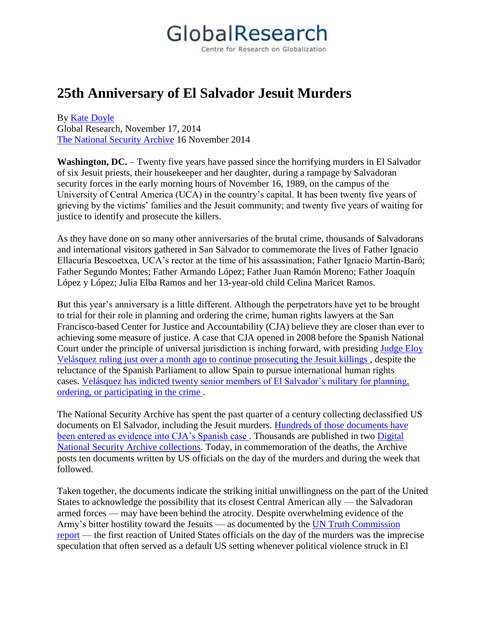## GlobalResearch

Centre for Research on Globalization

## **25th Anniversary of El Salvador Jesuit Murders**

By [Kate Doyle](http://www.globalresearch.ca/author/kate-doyle) Global Research, November 17, 2014 [The National Security Archive](http://www2.gwu.edu/~nsarchiv/NSAEBB/NSAEBB492/) 16 November 2014

**Washington, DC.** – Twenty five years have passed since the horrifying murders in El Salvador of six Jesuit priests, their housekeeper and her daughter, during a rampage by Salvadoran security forces in the early morning hours of November 16, 1989, on the campus of the University of Central America (UCA) in the country's capital. It has been twenty five years of grieving by the victims' families and the Jesuit community; and twenty five years of waiting for justice to identify and prosecute the killers.

As they have done on so many other anniversaries of the brutal crime, thousands of Salvadorans and international visitors gathered in San Salvador to commemorate the lives of Father Ignacio Ellacuría Bescoetxea, UCA's rector at the time of his assassination; Father Ignacio Martín-Baró; Father Segundo Montes; Father Armando López; Father Juan Ramón Moreno; Father Joaquín López y López; Julia Elba Ramos and her 13-year-old child Celina Maricet Ramos.

But this year's anniversary is a little different. Although the perpetrators have yet to be brought to trial for their role in planning and ordering the crime, human rights lawyers at the San Francisco-based Center for Justice and Accountability (CJA) believe they are closer than ever to achieving some measure of justice. A case that CJA opened in 2008 before the Spanish National Court under the principle of universal jurisdiction is inching forward, with presiding [Judge Eloy](http://www.elfaro.net/es/201410/noticias/16034/Audiencia-Nacional-espa%C3%B1ola-ordena-que-el-caso-jesuitas-se-investigue-como-crimen-contra-la-humanidad.htm)  [Velásquez ruling just over a month ago to continue prosecuting the Jesuit killings](http://www.elfaro.net/es/201410/noticias/16034/Audiencia-Nacional-espa%C3%B1ola-ordena-que-el-caso-jesuitas-se-investigue-como-crimen-contra-la-humanidad.htm) , despite the reluctance of the Spanish Parliament to allow Spain to pursue international human rights cases. [Velásquez has indicted twenty senior members of El Salvador's military for planning,](http://www.cja.org/article.php?list=type&type=129)  [ordering, or participating in the crime](http://www.cja.org/article.php?list=type&type=129) .

The National Security Archive has spent the past quarter of a century collecting declassified US documents on El Salvador, including the Jesuit murders. [Hundreds of those documents have](http://nsarchive.wordpress.com/2009/11/16/right-to-justice-in-el-salvador/)  [been entered as evidence into CJA's Spanish case](http://nsarchive.wordpress.com/2009/11/16/right-to-justice-in-el-salvador/). Thousands are published in two Digital [National Security Archive collections.](http://nsarchive.chadwyck.com/marketing/index.jsp) Today, in commemoration of the deaths, the Archive posts ten documents written by US officials on the day of the murders and during the week that followed.

Taken together, the documents indicate the striking initial unwillingness on the part of the United States to acknowledge the possibility that its closest Central American ally — the Salvadoran armed forces — may have been behind the atrocity. Despite overwhelming evidence of the Army's bitter hostility toward the Jesuits — as documented by the [UN Truth Commission](http://www.usip.org/sites/default/files/file/ElSalvador-Report.pdf)  [report](http://www.usip.org/sites/default/files/file/ElSalvador-Report.pdf) — the first reaction of United States officials on the day of the murders was the imprecise speculation that often served as a default US setting whenever political violence struck in El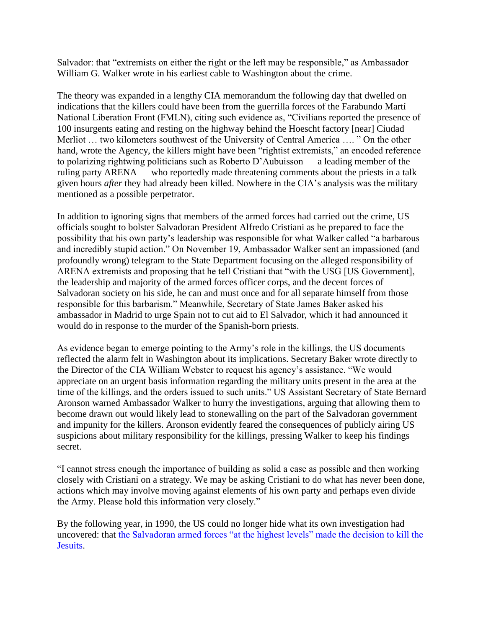Salvador: that "extremists on either the right or the left may be responsible," as Ambassador William G. Walker wrote in his earliest cable to Washington about the crime.

The theory was expanded in a lengthy CIA memorandum the following day that dwelled on indications that the killers could have been from the guerrilla forces of the Farabundo Martí National Liberation Front (FMLN), citing such evidence as, "Civilians reported the presence of 100 insurgents eating and resting on the highway behind the Hoescht factory [near] Ciudad Merliot … two kilometers southwest of the University of Central America …. " On the other hand, wrote the Agency, the killers might have been "rightist extremists," an encoded reference to polarizing rightwing politicians such as Roberto D'Aubuisson — a leading member of the ruling party ARENA — who reportedly made threatening comments about the priests in a talk given hours *after* they had already been killed. Nowhere in the CIA's analysis was the military mentioned as a possible perpetrator.

In addition to ignoring signs that members of the armed forces had carried out the crime, US officials sought to bolster Salvadoran President Alfredo Cristiani as he prepared to face the possibility that his own party's leadership was responsible for what Walker called "a barbarous and incredibly stupid action." On November 19, Ambassador Walker sent an impassioned (and profoundly wrong) telegram to the State Department focusing on the alleged responsibility of ARENA extremists and proposing that he tell Cristiani that "with the USG [US Government], the leadership and majority of the armed forces officer corps, and the decent forces of Salvadoran society on his side, he can and must once and for all separate himself from those responsible for this barbarism." Meanwhile, Secretary of State James Baker asked his ambassador in Madrid to urge Spain not to cut aid to El Salvador, which it had announced it would do in response to the murder of the Spanish-born priests.

As evidence began to emerge pointing to the Army's role in the killings, the US documents reflected the alarm felt in Washington about its implications. Secretary Baker wrote directly to the Director of the CIA William Webster to request his agency's assistance. "We would appreciate on an urgent basis information regarding the military units present in the area at the time of the killings, and the orders issued to such units." US Assistant Secretary of State Bernard Aronson warned Ambassador Walker to hurry the investigations, arguing that allowing them to become drawn out would likely lead to stonewalling on the part of the Salvadoran government and impunity for the killers. Aronson evidently feared the consequences of publicly airing US suspicions about military responsibility for the killings, pressing Walker to keep his findings secret.

"I cannot stress enough the importance of building as solid a case as possible and then working closely with Cristiani on a strategy. We may be asking Cristiani to do what has never been done, actions which may involve moving against elements of his own party and perhaps even divide the Army. Please hold this information very closely."

By the following year, in 1990, the US could no longer hide what its own investigation had uncovered: that [the Salvadoran armed forces "at the highest levels" made the decision to kill the](https://nsarchive.wordpress.com/2011/05/05/salvadoran-military-official-accused-of-ordering-jesuit-massacre-dies-at-64/)  [Jesuits.](https://nsarchive.wordpress.com/2011/05/05/salvadoran-military-official-accused-of-ordering-jesuit-massacre-dies-at-64/)